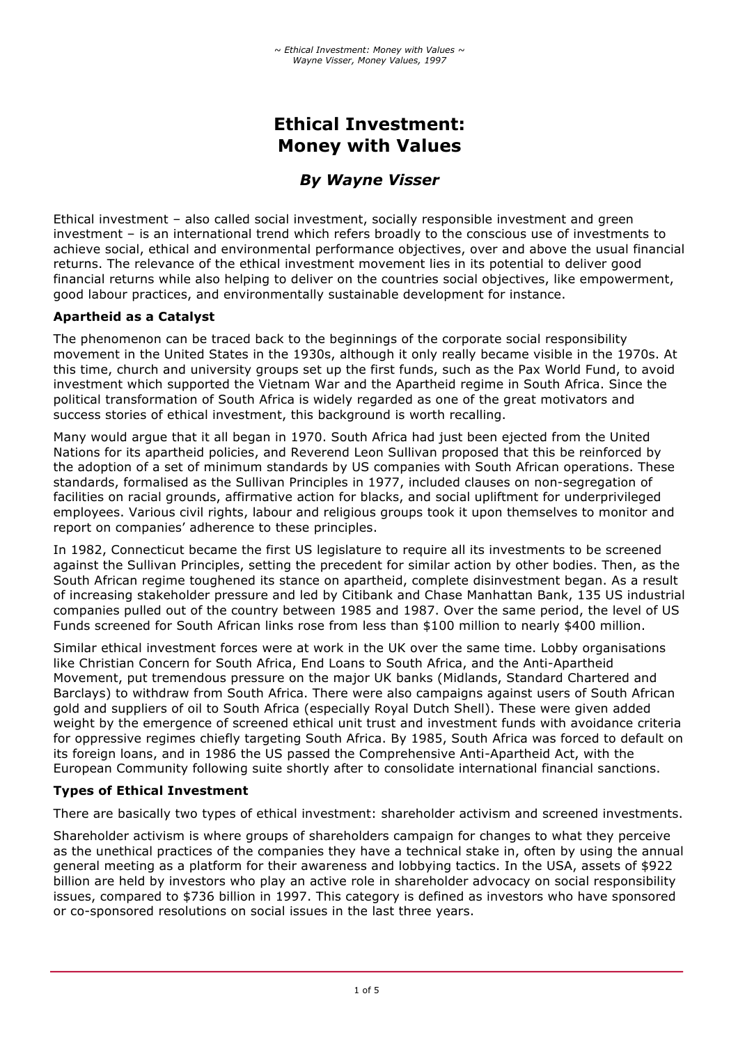# **Ethical Investment: Money with Values**

# *By Wayne Visser*

Ethical investment – also called social investment, socially responsible investment and green investment – is an international trend which refers broadly to the conscious use of investments to achieve social, ethical and environmental performance objectives, over and above the usual financial returns. The relevance of the ethical investment movement lies in its potential to deliver good financial returns while also helping to deliver on the countries social objectives, like empowerment, good labour practices, and environmentally sustainable development for instance.

# **Apartheid as a Catalyst**

The phenomenon can be traced back to the beginnings of the corporate social responsibility movement in the United States in the 1930s, although it only really became visible in the 1970s. At this time, church and university groups set up the first funds, such as the Pax World Fund, to avoid investment which supported the Vietnam War and the Apartheid regime in South Africa. Since the political transformation of South Africa is widely regarded as one of the great motivators and success stories of ethical investment, this background is worth recalling.

Many would argue that it all began in 1970. South Africa had just been ejected from the United Nations for its apartheid policies, and Reverend Leon Sullivan proposed that this be reinforced by the adoption of a set of minimum standards by US companies with South African operations. These standards, formalised as the Sullivan Principles in 1977, included clauses on non-segregation of facilities on racial grounds, affirmative action for blacks, and social upliftment for underprivileged employees. Various civil rights, labour and religious groups took it upon themselves to monitor and report on companies' adherence to these principles.

In 1982, Connecticut became the first US legislature to require all its investments to be screened against the Sullivan Principles, setting the precedent for similar action by other bodies. Then, as the South African regime toughened its stance on apartheid, complete disinvestment began. As a result of increasing stakeholder pressure and led by Citibank and Chase Manhattan Bank, 135 US industrial companies pulled out of the country between 1985 and 1987. Over the same period, the level of US Funds screened for South African links rose from less than \$100 million to nearly \$400 million.

Similar ethical investment forces were at work in the UK over the same time. Lobby organisations like Christian Concern for South Africa, End Loans to South Africa, and the Anti-Apartheid Movement, put tremendous pressure on the major UK banks (Midlands, Standard Chartered and Barclays) to withdraw from South Africa. There were also campaigns against users of South African gold and suppliers of oil to South Africa (especially Royal Dutch Shell). These were given added weight by the emergence of screened ethical unit trust and investment funds with avoidance criteria for oppressive regimes chiefly targeting South Africa. By 1985, South Africa was forced to default on its foreign loans, and in 1986 the US passed the Comprehensive Anti-Apartheid Act, with the European Community following suite shortly after to consolidate international financial sanctions.

# **Types of Ethical Investment**

There are basically two types of ethical investment: shareholder activism and screened investments.

Shareholder activism is where groups of shareholders campaign for changes to what they perceive as the unethical practices of the companies they have a technical stake in, often by using the annual general meeting as a platform for their awareness and lobbying tactics. In the USA, assets of \$922 billion are held by investors who play an active role in shareholder advocacy on social responsibility issues, compared to \$736 billion in 1997. This category is defined as investors who have sponsored or co-sponsored resolutions on social issues in the last three years.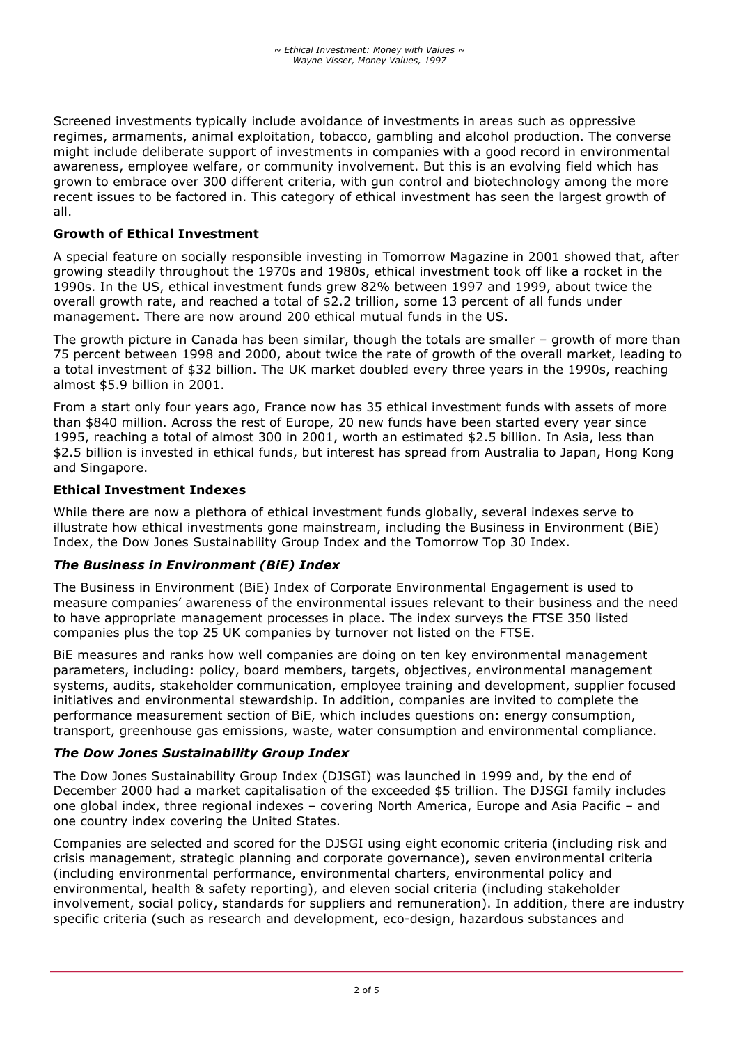Screened investments typically include avoidance of investments in areas such as oppressive regimes, armaments, animal exploitation, tobacco, gambling and alcohol production. The converse might include deliberate support of investments in companies with a good record in environmental awareness, employee welfare, or community involvement. But this is an evolving field which has grown to embrace over 300 different criteria, with gun control and biotechnology among the more recent issues to be factored in. This category of ethical investment has seen the largest growth of all.

# **Growth of Ethical Investment**

A special feature on socially responsible investing in Tomorrow Magazine in 2001 showed that, after growing steadily throughout the 1970s and 1980s, ethical investment took off like a rocket in the 1990s. In the US, ethical investment funds grew 82% between 1997 and 1999, about twice the overall growth rate, and reached a total of \$2.2 trillion, some 13 percent of all funds under management. There are now around 200 ethical mutual funds in the US.

The growth picture in Canada has been similar, though the totals are smaller – growth of more than 75 percent between 1998 and 2000, about twice the rate of growth of the overall market, leading to a total investment of \$32 billion. The UK market doubled every three years in the 1990s, reaching almost \$5.9 billion in 2001.

From a start only four years ago, France now has 35 ethical investment funds with assets of more than \$840 million. Across the rest of Europe, 20 new funds have been started every year since 1995, reaching a total of almost 300 in 2001, worth an estimated \$2.5 billion. In Asia, less than \$2.5 billion is invested in ethical funds, but interest has spread from Australia to Japan, Hong Kong and Singapore.

#### **Ethical Investment Indexes**

While there are now a plethora of ethical investment funds globally, several indexes serve to illustrate how ethical investments gone mainstream, including the Business in Environment (BiE) Index, the Dow Jones Sustainability Group Index and the Tomorrow Top 30 Index.

#### *The Business in Environment (BiE) Index*

The Business in Environment (BiE) Index of Corporate Environmental Engagement is used to measure companies' awareness of the environmental issues relevant to their business and the need to have appropriate management processes in place. The index surveys the FTSE 350 listed companies plus the top 25 UK companies by turnover not listed on the FTSE.

BiE measures and ranks how well companies are doing on ten key environmental management parameters, including: policy, board members, targets, objectives, environmental management systems, audits, stakeholder communication, employee training and development, supplier focused initiatives and environmental stewardship. In addition, companies are invited to complete the performance measurement section of BiE, which includes questions on: energy consumption, transport, greenhouse gas emissions, waste, water consumption and environmental compliance.

#### *The Dow Jones Sustainability Group Index*

The Dow Jones Sustainability Group Index (DJSGI) was launched in 1999 and, by the end of December 2000 had a market capitalisation of the exceeded \$5 trillion. The DJSGI family includes one global index, three regional indexes – covering North America, Europe and Asia Pacific – and one country index covering the United States.

Companies are selected and scored for the DJSGI using eight economic criteria (including risk and crisis management, strategic planning and corporate governance), seven environmental criteria (including environmental performance, environmental charters, environmental policy and environmental, health & safety reporting), and eleven social criteria (including stakeholder involvement, social policy, standards for suppliers and remuneration). In addition, there are industry specific criteria (such as research and development, eco-design, hazardous substances and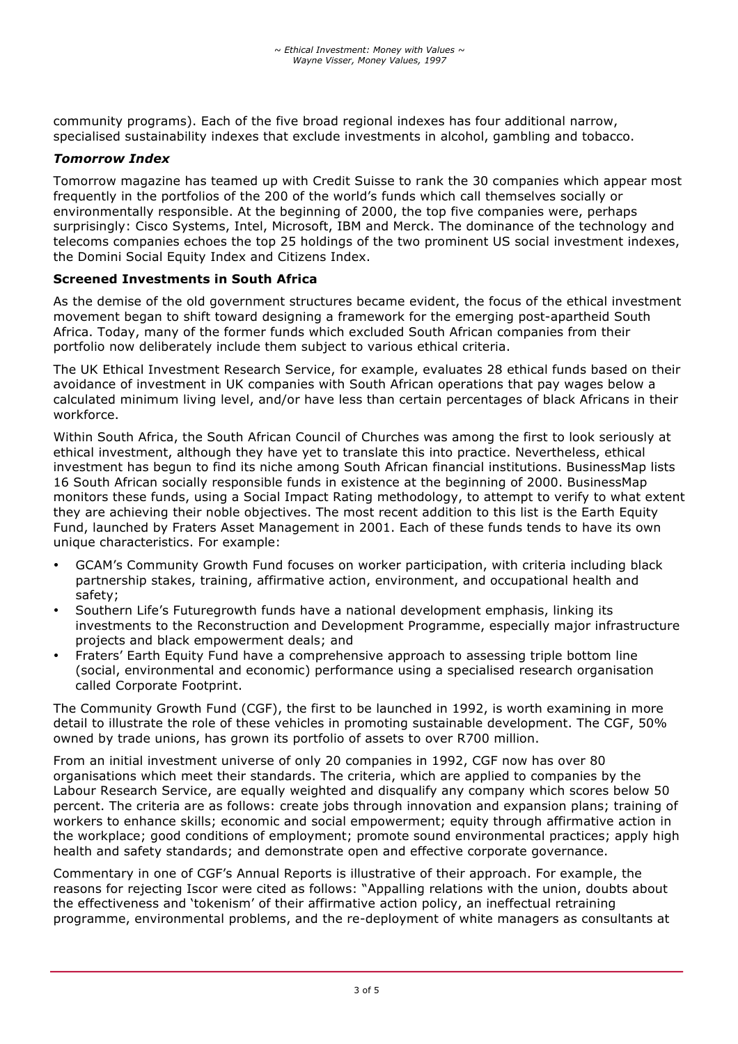community programs). Each of the five broad regional indexes has four additional narrow, specialised sustainability indexes that exclude investments in alcohol, gambling and tobacco.

#### *Tomorrow Index*

Tomorrow magazine has teamed up with Credit Suisse to rank the 30 companies which appear most frequently in the portfolios of the 200 of the world's funds which call themselves socially or environmentally responsible. At the beginning of 2000, the top five companies were, perhaps surprisingly: Cisco Systems, Intel, Microsoft, IBM and Merck. The dominance of the technology and telecoms companies echoes the top 25 holdings of the two prominent US social investment indexes, the Domini Social Equity Index and Citizens Index.

#### **Screened Investments in South Africa**

As the demise of the old government structures became evident, the focus of the ethical investment movement began to shift toward designing a framework for the emerging post-apartheid South Africa. Today, many of the former funds which excluded South African companies from their portfolio now deliberately include them subject to various ethical criteria.

The UK Ethical Investment Research Service, for example, evaluates 28 ethical funds based on their avoidance of investment in UK companies with South African operations that pay wages below a calculated minimum living level, and/or have less than certain percentages of black Africans in their workforce.

Within South Africa, the South African Council of Churches was among the first to look seriously at ethical investment, although they have yet to translate this into practice. Nevertheless, ethical investment has begun to find its niche among South African financial institutions. BusinessMap lists 16 South African socially responsible funds in existence at the beginning of 2000. BusinessMap monitors these funds, using a Social Impact Rating methodology, to attempt to verify to what extent they are achieving their noble objectives. The most recent addition to this list is the Earth Equity Fund, launched by Fraters Asset Management in 2001. Each of these funds tends to have its own unique characteristics. For example:

- GCAM's Community Growth Fund focuses on worker participation, with criteria including black partnership stakes, training, affirmative action, environment, and occupational health and safety;
- Southern Life's Futuregrowth funds have a national development emphasis, linking its investments to the Reconstruction and Development Programme, especially major infrastructure projects and black empowerment deals; and
- Fraters' Earth Equity Fund have a comprehensive approach to assessing triple bottom line (social, environmental and economic) performance using a specialised research organisation called Corporate Footprint.

The Community Growth Fund (CGF), the first to be launched in 1992, is worth examining in more detail to illustrate the role of these vehicles in promoting sustainable development. The CGF, 50% owned by trade unions, has grown its portfolio of assets to over R700 million.

From an initial investment universe of only 20 companies in 1992, CGF now has over 80 organisations which meet their standards. The criteria, which are applied to companies by the Labour Research Service, are equally weighted and disqualify any company which scores below 50 percent. The criteria are as follows: create jobs through innovation and expansion plans; training of workers to enhance skills; economic and social empowerment; equity through affirmative action in the workplace; good conditions of employment; promote sound environmental practices; apply high health and safety standards; and demonstrate open and effective corporate governance.

Commentary in one of CGF's Annual Reports is illustrative of their approach. For example, the reasons for rejecting Iscor were cited as follows: "Appalling relations with the union, doubts about the effectiveness and 'tokenism' of their affirmative action policy, an ineffectual retraining programme, environmental problems, and the re-deployment of white managers as consultants at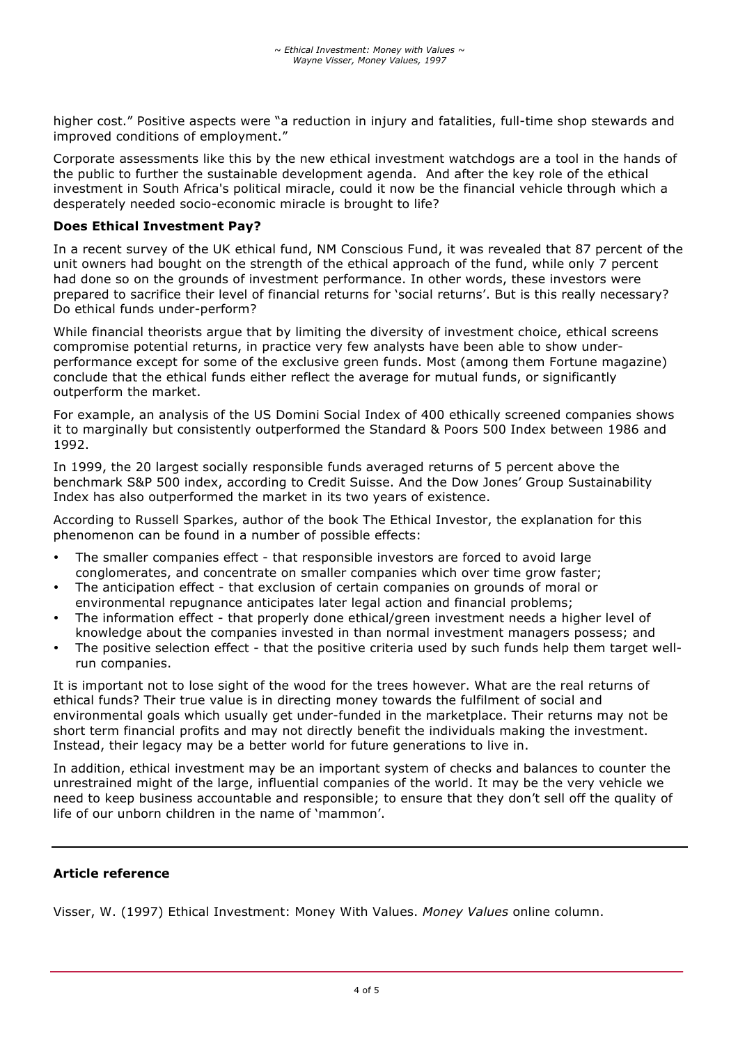higher cost." Positive aspects were "a reduction in injury and fatalities, full-time shop stewards and improved conditions of employment."

Corporate assessments like this by the new ethical investment watchdogs are a tool in the hands of the public to further the sustainable development agenda. And after the key role of the ethical investment in South Africa's political miracle, could it now be the financial vehicle through which a desperately needed socio-economic miracle is brought to life?

#### **Does Ethical Investment Pay?**

In a recent survey of the UK ethical fund, NM Conscious Fund, it was revealed that 87 percent of the unit owners had bought on the strength of the ethical approach of the fund, while only 7 percent had done so on the grounds of investment performance. In other words, these investors were prepared to sacrifice their level of financial returns for 'social returns'. But is this really necessary? Do ethical funds under-perform?

While financial theorists argue that by limiting the diversity of investment choice, ethical screens compromise potential returns, in practice very few analysts have been able to show underperformance except for some of the exclusive green funds. Most (among them Fortune magazine) conclude that the ethical funds either reflect the average for mutual funds, or significantly outperform the market.

For example, an analysis of the US Domini Social Index of 400 ethically screened companies shows it to marginally but consistently outperformed the Standard & Poors 500 Index between 1986 and 1992.

In 1999, the 20 largest socially responsible funds averaged returns of 5 percent above the benchmark S&P 500 index, according to Credit Suisse. And the Dow Jones' Group Sustainability Index has also outperformed the market in its two years of existence.

According to Russell Sparkes, author of the book The Ethical Investor, the explanation for this phenomenon can be found in a number of possible effects:

- The smaller companies effect that responsible investors are forced to avoid large conglomerates, and concentrate on smaller companies which over time grow faster;
- The anticipation effect that exclusion of certain companies on grounds of moral or environmental repugnance anticipates later legal action and financial problems;
- The information effect that properly done ethical/green investment needs a higher level of knowledge about the companies invested in than normal investment managers possess; and
- The positive selection effect that the positive criteria used by such funds help them target wellrun companies.

It is important not to lose sight of the wood for the trees however. What are the real returns of ethical funds? Their true value is in directing money towards the fulfilment of social and environmental goals which usually get under-funded in the marketplace. Their returns may not be short term financial profits and may not directly benefit the individuals making the investment. Instead, their legacy may be a better world for future generations to live in.

In addition, ethical investment may be an important system of checks and balances to counter the unrestrained might of the large, influential companies of the world. It may be the very vehicle we need to keep business accountable and responsible; to ensure that they don't sell off the quality of life of our unborn children in the name of 'mammon'.

#### **Article reference**

Visser, W. (1997) Ethical Investment: Money With Values. *Money Values* online column.